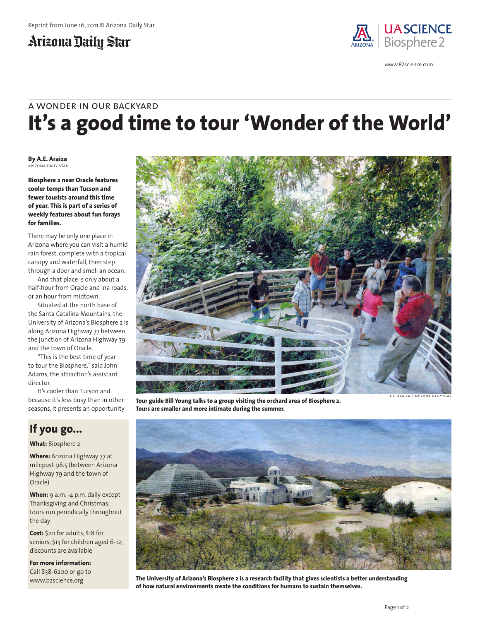### Arizona Daily Star



www.B2science.com

# **It's a good time to tour 'Wonder of the World'** a wonder in our backyard

**By A.E. Araiza** ARIZONA DAILY STAR

**Biosphere 2 near Oracle features cooler temps than Tucson and fewer tourists around this time of year. This is part of a series of weekly features about fun forays for families.**

There may be only one place in Arizona where you can visit a humid rain forest, complete with a tropical canopy and waterfall, then step through a door and smell an ocean.

And that place is only about a half-hour from Oracle and Ina roads, or an hour from midtown.

Situated at the north base of the Santa Catalina Mountains, the University of Arizona's Biosphere 2 is along Arizona Highway 77 between the junction of Arizona Highway 79 and the town of Oracle.

"This is the best time of year to tour the Biosphere," said John Adams, the attraction's assistant director.

It's cooler than Tucson and because it's less busy than in other seasons, it presents an opportunity

### **If you go...**

#### **What:** Biosphere 2

**Where:** Arizona Highway 77 at milepost 96.5 (between Arizona Highway 79 and the town of Oracle)

When: 9 a.m. -4 p.m. daily except Thanksgiving and Christmas; tours run periodically throughout the day

**Cost:** \$20 for adults; \$18 for seniors; \$13 for children aged 6-12; discounts are available

**For more information:**

Call 838-6200 or go to www.b2science.org



**Tour guide Bill Young talks to a group visiting the orchard area of Biosphere 2. Tours are smaller and more intimate during the summer.**

a.e. araiza / arizona daily star



**The University of Arizona's Biosphere 2 is a research facility that gives scientists a better understanding of how natural environments create the conditions for humans to sustain themselves.**